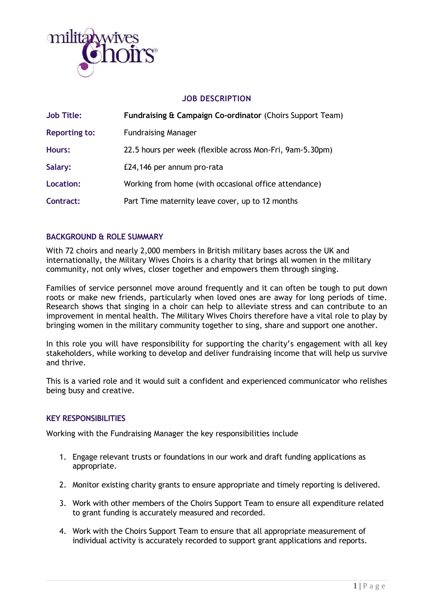

## **JOB DESCRIPTION**

| <b>Job Title:</b>    | Fundraising & Campaign Co-ordinator (Choirs Support Team) |
|----------------------|-----------------------------------------------------------|
| <b>Reporting to:</b> | <b>Fundraising Manager</b>                                |
| <b>Hours:</b>        | 22.5 hours per week (flexible across Mon-Fri, 9am-5.30pm) |
| Salary:              | £24,146 per annum pro-rata                                |
| Location:            | Working from home (with occasional office attendance)     |
| Contract:            | Part Time maternity leave cover, up to 12 months          |

## **BACKGROUND & ROLE SUMMARY**

With 72 choirs and nearly 2,000 members in British military bases across the UK and internationally, the Military Wives Choirs is a charity that brings all women in the military community, not only wives, closer together and empowers them through singing.

Families of service personnel move around frequently and it can often be tough to put down roots or make new friends, particularly when loved ones are away for long periods of time. Research shows that singing in a choir can help to alleviate stress and can contribute to an improvement in mental health. The Military Wives Choirs therefore have a vital role to play by bringing women in the military community together to sing, share and support one another.

In this role you will have responsibility for supporting the charity's engagement with all key stakeholders, while working to develop and deliver fundraising income that will help us survive and thrive.

This is a varied role and it would suit a confident and experienced communicator who relishes being busy and creative.

## **KEY RESPONSIBILITIES**

Working with the Fundraising Manager the key responsibilities include

- 1. Engage relevant trusts or foundations in our work and draft funding applications as appropriate.
- 2. Monitor existing charity grants to ensure appropriate and timely reporting is delivered.
- 3. Work with other members of the Choirs Support Team to ensure all expenditure related to grant funding is accurately measured and recorded.
- 4. Work with the Choirs Support Team to ensure that all appropriate measurement of individual activity is accurately recorded to support grant applications and reports.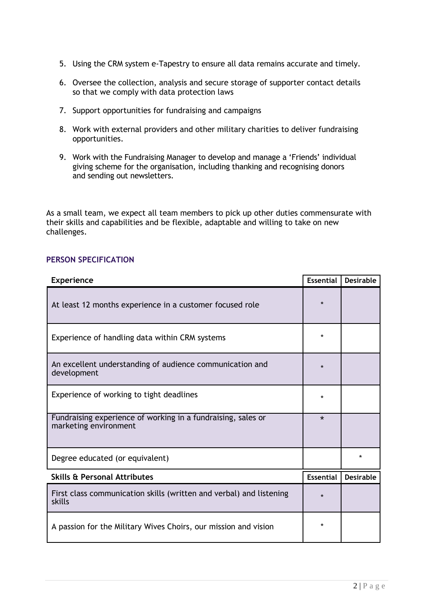- 5. Using the CRM system e-Tapestry to ensure all data remains accurate and timely.
- 6. Oversee the collection, analysis and secure storage of supporter contact details so that we comply with data protection laws
- 7. Support opportunities for fundraising and campaigns
- 8. Work with external providers and other military charities to deliver fundraising opportunities.
- 9. Work with the Fundraising Manager to develop and manage a 'Friends' individual giving scheme for the organisation, including thanking and recognising donors and sending out newsletters.

As a small team, we expect all team members to pick up other duties commensurate with their skills and capabilities and be flexible, adaptable and willing to take on new challenges.

## **PERSON SPECIFICATION**

| <b>Experience</b>                                                                     |  | <b>Desirable</b> |
|---------------------------------------------------------------------------------------|--|------------------|
| At least 12 months experience in a customer focused role                              |  |                  |
| Experience of handling data within CRM systems                                        |  |                  |
| An excellent understanding of audience communication and<br>development               |  |                  |
| Experience of working to tight deadlines                                              |  |                  |
| Fundraising experience of working in a fundraising, sales or<br>marketing environment |  |                  |
| Degree educated (or equivalent)                                                       |  | $\star$          |
| <b>Skills &amp; Personal Attributes</b>                                               |  | <b>Desirable</b> |
| First class communication skills (written and verbal) and listening<br>skills         |  |                  |
| A passion for the Military Wives Choirs, our mission and vision                       |  |                  |